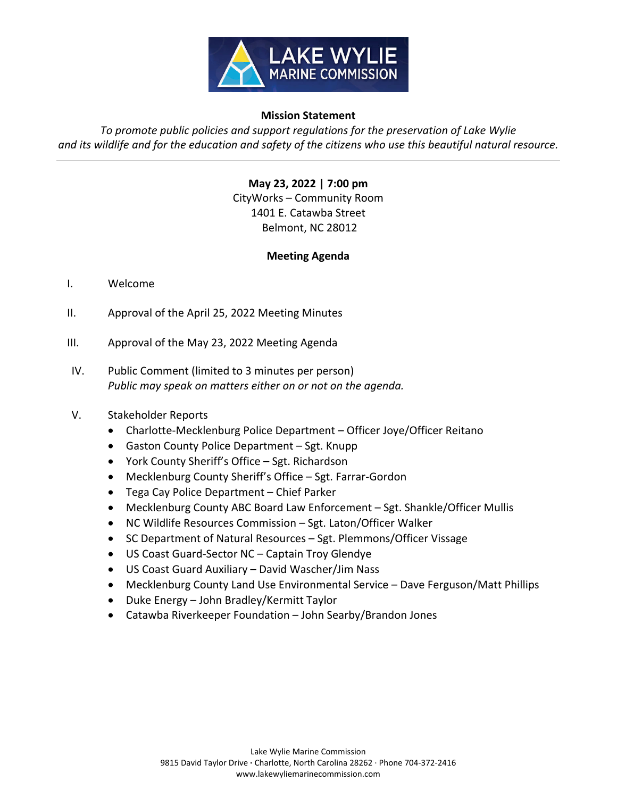

## **Mission Statement**

*To promote public policies and support regulations for the preservation of Lake Wylie*  and its wildlife and for the education and safety of the citizens who use this beautiful natural resource.

> **May 23, 2022 | 7:00 pm** CityWorks – Community Room 1401 E. Catawba Street Belmont, NC 28012

## **Meeting Agenda**

- I. Welcome
- II. Approval of the April 25, 2022 Meeting Minutes
- III. Approval of the May 23, 2022 Meeting Agenda
- IV. Public Comment (limited to 3 minutes per person) *Public may speak on matters either on or not on the agenda.*

## V. Stakeholder Reports

- Charlotte-Mecklenburg Police Department Officer Joye/Officer Reitano
- Gaston County Police Department Sgt. Knupp
- York County Sheriff's Office Sgt. Richardson
- Mecklenburg County Sheriff's Office Sgt. Farrar‐Gordon
- Tega Cay Police Department Chief Parker
- Mecklenburg County ABC Board Law Enforcement Sgt. Shankle/Officer Mullis
- NC Wildlife Resources Commission Sgt. Laton/Officer Walker
- SC Department of Natural Resources Sgt. Plemmons/Officer Vissage
- US Coast Guard‐Sector NC Captain Troy Glendye
- US Coast Guard Auxiliary David Wascher/Jim Nass
- Mecklenburg County Land Use Environmental Service Dave Ferguson/Matt Phillips
- Duke Energy John Bradley/Kermitt Taylor
- Catawba Riverkeeper Foundation John Searby/Brandon Jones